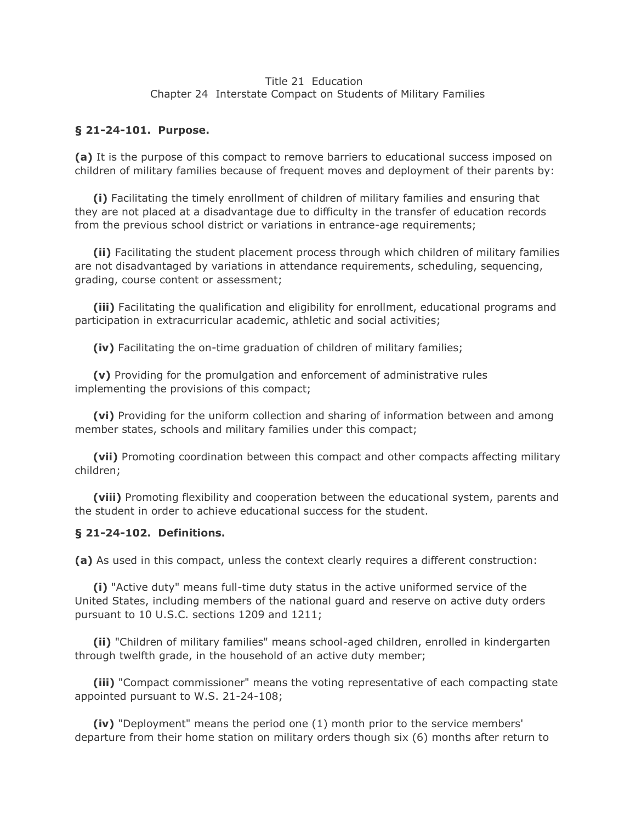#### Title 21 Education Chapter 24 Interstate Compact on Students of Military Families

#### **§ 21-24-101. Purpose.**

**(a)** It is the purpose of this compact to remove barriers to educational success imposed on children of military families because of frequent moves and deployment of their parents by:

 **(i)** Facilitating the timely enrollment of children of military families and ensuring that they are not placed at a disadvantage due to difficulty in the transfer of education records from the previous school district or variations in entrance-age requirements;

 **(ii)** Facilitating the student placement process through which children of military families are not disadvantaged by variations in attendance requirements, scheduling, sequencing, grading, course content or assessment;

 **(iii)** Facilitating the qualification and eligibility for enrollment, educational programs and participation in extracurricular academic, athletic and social activities;

**(iv)** Facilitating the on-time graduation of children of military families;

 **(v)** Providing for the promulgation and enforcement of administrative rules implementing the provisions of this compact;

 **(vi)** Providing for the uniform collection and sharing of information between and among member states, schools and military families under this compact;

 **(vii)** Promoting coordination between this compact and other compacts affecting military children;

 **(viii)** Promoting flexibility and cooperation between the educational system, parents and the student in order to achieve educational success for the student.

#### **§ 21-24-102. Definitions.**

**(a)** As used in this compact, unless the context clearly requires a different construction:

 **(i)** "Active duty" means full-time duty status in the active uniformed service of the United States, including members of the national guard and reserve on active duty orders pursuant to 10 U.S.C. sections 1209 and 1211;

 **(ii)** "Children of military families" means school-aged children, enrolled in kindergarten through twelfth grade, in the household of an active duty member;

 **(iii)** "Compact commissioner" means the voting representative of each compacting state appointed pursuant to W.S. 21-24-108;

 **(iv)** "Deployment" means the period one (1) month prior to the service members' departure from their home station on military orders though six (6) months after return to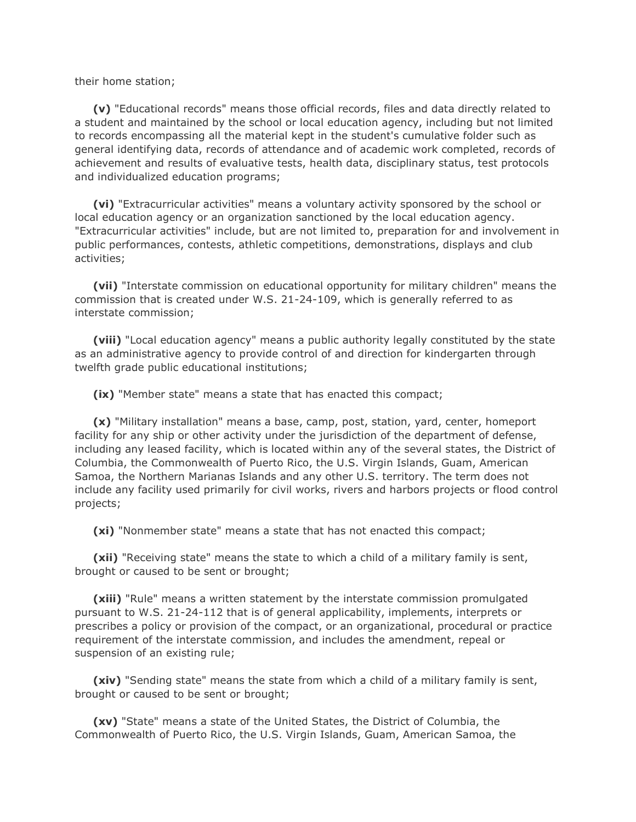their home station;

 **(v)** "Educational records" means those official records, files and data directly related to a student and maintained by the school or local education agency, including but not limited to records encompassing all the material kept in the student's cumulative folder such as general identifying data, records of attendance and of academic work completed, records of achievement and results of evaluative tests, health data, disciplinary status, test protocols and individualized education programs;

 **(vi)** "Extracurricular activities" means a voluntary activity sponsored by the school or local education agency or an organization sanctioned by the local education agency. "Extracurricular activities" include, but are not limited to, preparation for and involvement in public performances, contests, athletic competitions, demonstrations, displays and club activities;

 **(vii)** "Interstate commission on educational opportunity for military children" means the commission that is created under W.S. 21-24-109, which is generally referred to as interstate commission;

 **(viii)** "Local education agency" means a public authority legally constituted by the state as an administrative agency to provide control of and direction for kindergarten through twelfth grade public educational institutions;

**(ix)** "Member state" means a state that has enacted this compact;

 **(x)** "Military installation" means a base, camp, post, station, yard, center, homeport facility for any ship or other activity under the jurisdiction of the department of defense, including any leased facility, which is located within any of the several states, the District of Columbia, the Commonwealth of Puerto Rico, the U.S. Virgin Islands, Guam, American Samoa, the Northern Marianas Islands and any other U.S. territory. The term does not include any facility used primarily for civil works, rivers and harbors projects or flood control projects;

**(xi)** "Nonmember state" means a state that has not enacted this compact;

 **(xii)** "Receiving state" means the state to which a child of a military family is sent, brought or caused to be sent or brought;

 **(xiii)** "Rule" means a written statement by the interstate commission promulgated pursuant to W.S. 21-24-112 that is of general applicability, implements, interprets or prescribes a policy or provision of the compact, or an organizational, procedural or practice requirement of the interstate commission, and includes the amendment, repeal or suspension of an existing rule;

 **(xiv)** "Sending state" means the state from which a child of a military family is sent, brought or caused to be sent or brought;

 **(xv)** "State" means a state of the United States, the District of Columbia, the Commonwealth of Puerto Rico, the U.S. Virgin Islands, Guam, American Samoa, the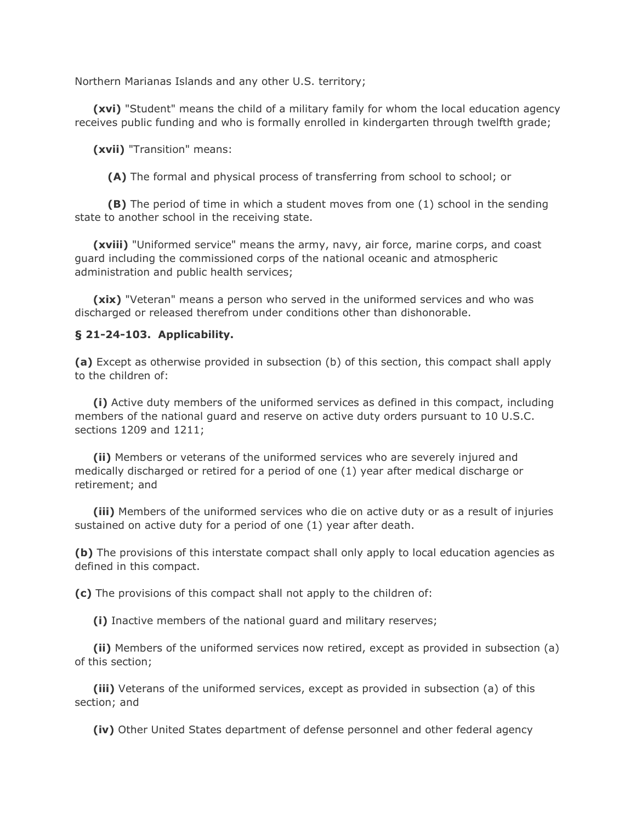Northern Marianas Islands and any other U.S. territory;

 **(xvi)** "Student" means the child of a military family for whom the local education agency receives public funding and who is formally enrolled in kindergarten through twelfth grade;

**(xvii)** "Transition" means:

**(A)** The formal and physical process of transferring from school to school; or

 **(B)** The period of time in which a student moves from one (1) school in the sending state to another school in the receiving state.

 **(xviii)** "Uniformed service" means the army, navy, air force, marine corps, and coast guard including the commissioned corps of the national oceanic and atmospheric administration and public health services;

 **(xix)** "Veteran" means a person who served in the uniformed services and who was discharged or released therefrom under conditions other than dishonorable.

#### **§ 21-24-103. Applicability.**

**(a)** Except as otherwise provided in subsection (b) of this section, this compact shall apply to the children of:

 **(i)** Active duty members of the uniformed services as defined in this compact, including members of the national guard and reserve on active duty orders pursuant to 10 U.S.C. sections 1209 and 1211;

 **(ii)** Members or veterans of the uniformed services who are severely injured and medically discharged or retired for a period of one (1) year after medical discharge or retirement; and

 **(iii)** Members of the uniformed services who die on active duty or as a result of injuries sustained on active duty for a period of one (1) year after death.

**(b)** The provisions of this interstate compact shall only apply to local education agencies as defined in this compact.

**(c)** The provisions of this compact shall not apply to the children of:

**(i)** Inactive members of the national guard and military reserves;

 **(ii)** Members of the uniformed services now retired, except as provided in subsection (a) of this section;

 **(iii)** Veterans of the uniformed services, except as provided in subsection (a) of this section; and

**(iv)** Other United States department of defense personnel and other federal agency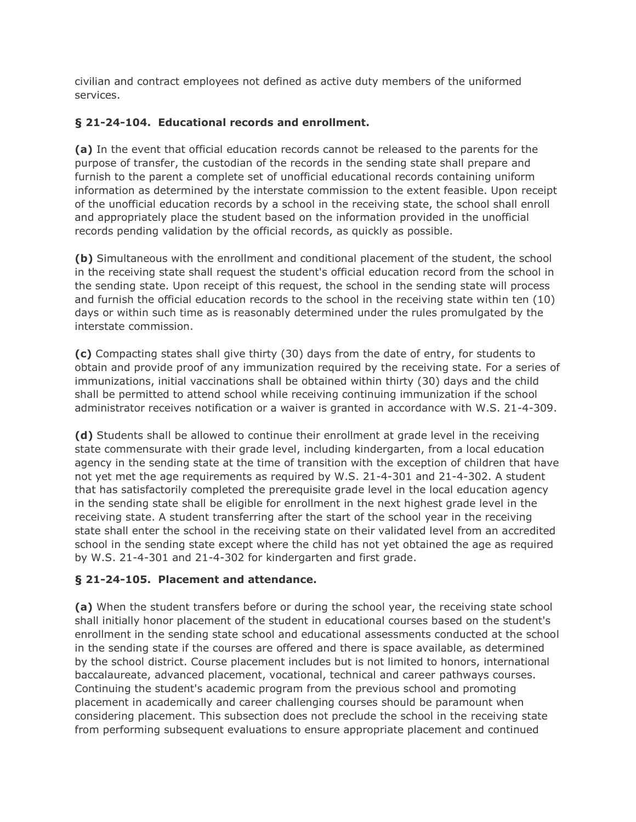civilian and contract employees not defined as active duty members of the uniformed services.

## **§ 21-24-104. Educational records and enrollment.**

**(a)** In the event that official education records cannot be released to the parents for the purpose of transfer, the custodian of the records in the sending state shall prepare and furnish to the parent a complete set of unofficial educational records containing uniform information as determined by the interstate commission to the extent feasible. Upon receipt of the unofficial education records by a school in the receiving state, the school shall enroll and appropriately place the student based on the information provided in the unofficial records pending validation by the official records, as quickly as possible.

**(b)** Simultaneous with the enrollment and conditional placement of the student, the school in the receiving state shall request the student's official education record from the school in the sending state. Upon receipt of this request, the school in the sending state will process and furnish the official education records to the school in the receiving state within ten (10) days or within such time as is reasonably determined under the rules promulgated by the interstate commission.

**(c)** Compacting states shall give thirty (30) days from the date of entry, for students to obtain and provide proof of any immunization required by the receiving state. For a series of immunizations, initial vaccinations shall be obtained within thirty (30) days and the child shall be permitted to attend school while receiving continuing immunization if the school administrator receives notification or a waiver is granted in accordance with W.S. 21-4-309.

**(d)** Students shall be allowed to continue their enrollment at grade level in the receiving state commensurate with their grade level, including kindergarten, from a local education agency in the sending state at the time of transition with the exception of children that have not yet met the age requirements as required by W.S. 21-4-301 and 21-4-302. A student that has satisfactorily completed the prerequisite grade level in the local education agency in the sending state shall be eligible for enrollment in the next highest grade level in the receiving state. A student transferring after the start of the school year in the receiving state shall enter the school in the receiving state on their validated level from an accredited school in the sending state except where the child has not yet obtained the age as required by W.S. 21-4-301 and 21-4-302 for kindergarten and first grade.

# **§ 21-24-105. Placement and attendance.**

**(a)** When the student transfers before or during the school year, the receiving state school shall initially honor placement of the student in educational courses based on the student's enrollment in the sending state school and educational assessments conducted at the school in the sending state if the courses are offered and there is space available, as determined by the school district. Course placement includes but is not limited to honors, international baccalaureate, advanced placement, vocational, technical and career pathways courses. Continuing the student's academic program from the previous school and promoting placement in academically and career challenging courses should be paramount when considering placement. This subsection does not preclude the school in the receiving state from performing subsequent evaluations to ensure appropriate placement and continued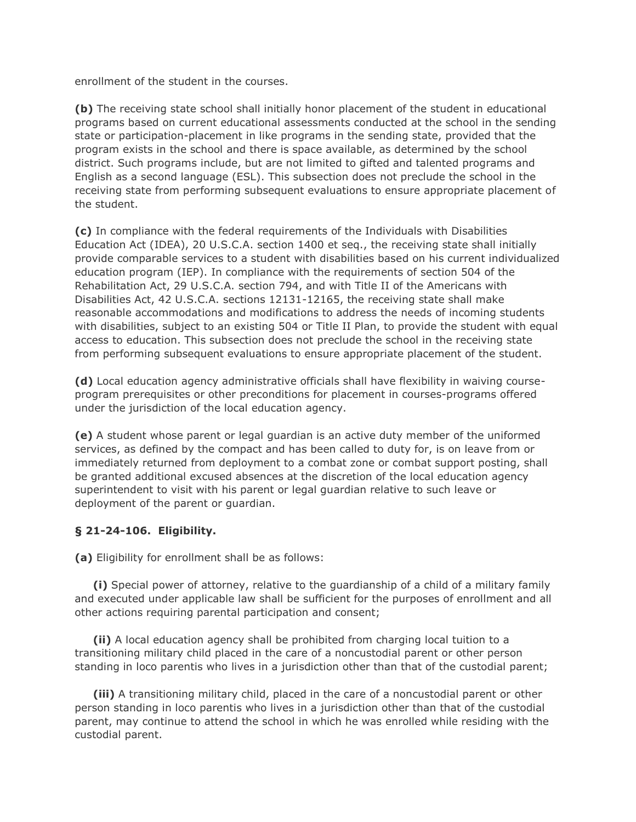enrollment of the student in the courses.

**(b)** The receiving state school shall initially honor placement of the student in educational programs based on current educational assessments conducted at the school in the sending state or participation-placement in like programs in the sending state, provided that the program exists in the school and there is space available, as determined by the school district. Such programs include, but are not limited to gifted and talented programs and English as a second language (ESL). This subsection does not preclude the school in the receiving state from performing subsequent evaluations to ensure appropriate placement of the student.

**(c)** In compliance with the federal requirements of the Individuals with Disabilities Education Act (IDEA), 20 U.S.C.A. section 1400 et seq., the receiving state shall initially provide comparable services to a student with disabilities based on his current individualized education program (IEP). In compliance with the requirements of section 504 of the Rehabilitation Act, 29 U.S.C.A. section 794, and with Title II of the Americans with Disabilities Act, 42 U.S.C.A. sections 12131-12165, the receiving state shall make reasonable accommodations and modifications to address the needs of incoming students with disabilities, subject to an existing 504 or Title II Plan, to provide the student with equal access to education. This subsection does not preclude the school in the receiving state from performing subsequent evaluations to ensure appropriate placement of the student.

**(d)** Local education agency administrative officials shall have flexibility in waiving courseprogram prerequisites or other preconditions for placement in courses-programs offered under the jurisdiction of the local education agency.

**(e)** A student whose parent or legal guardian is an active duty member of the uniformed services, as defined by the compact and has been called to duty for, is on leave from or immediately returned from deployment to a combat zone or combat support posting, shall be granted additional excused absences at the discretion of the local education agency superintendent to visit with his parent or legal guardian relative to such leave or deployment of the parent or guardian.

## **§ 21-24-106. Eligibility.**

**(a)** Eligibility for enrollment shall be as follows:

 **(i)** Special power of attorney, relative to the guardianship of a child of a military family and executed under applicable law shall be sufficient for the purposes of enrollment and all other actions requiring parental participation and consent;

 **(ii)** A local education agency shall be prohibited from charging local tuition to a transitioning military child placed in the care of a noncustodial parent or other person standing in loco parentis who lives in a jurisdiction other than that of the custodial parent;

 **(iii)** A transitioning military child, placed in the care of a noncustodial parent or other person standing in loco parentis who lives in a jurisdiction other than that of the custodial parent, may continue to attend the school in which he was enrolled while residing with the custodial parent.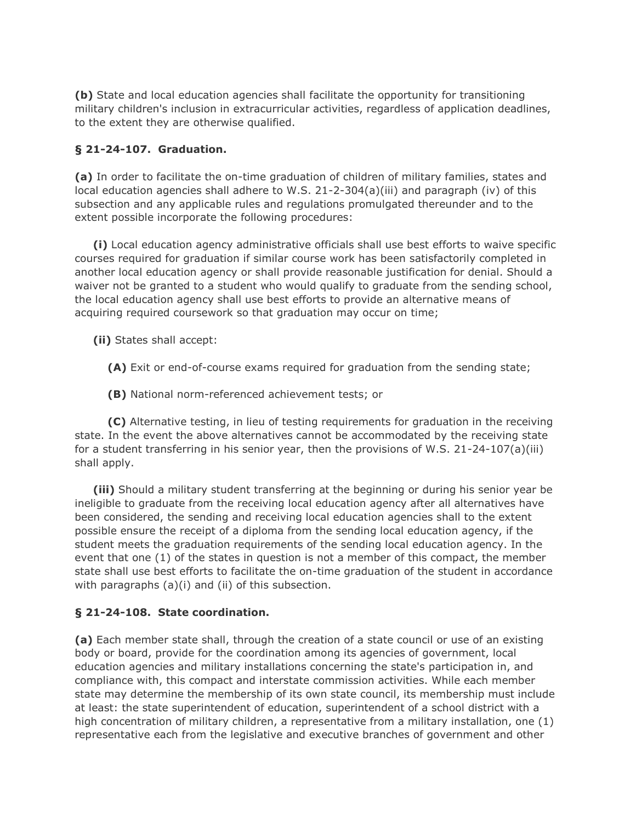**(b)** State and local education agencies shall facilitate the opportunity for transitioning military children's inclusion in extracurricular activities, regardless of application deadlines, to the extent they are otherwise qualified.

### **§ 21-24-107. Graduation.**

**(a)** In order to facilitate the on-time graduation of children of military families, states and local education agencies shall adhere to W.S. 21-2-304(a)(iii) and paragraph (iv) of this subsection and any applicable rules and regulations promulgated thereunder and to the extent possible incorporate the following procedures:

 **(i)** Local education agency administrative officials shall use best efforts to waive specific courses required for graduation if similar course work has been satisfactorily completed in another local education agency or shall provide reasonable justification for denial. Should a waiver not be granted to a student who would qualify to graduate from the sending school, the local education agency shall use best efforts to provide an alternative means of acquiring required coursework so that graduation may occur on time;

**(ii)** States shall accept:

**(A)** Exit or end-of-course exams required for graduation from the sending state;

**(B)** National norm-referenced achievement tests; or

 **(C)** Alternative testing, in lieu of testing requirements for graduation in the receiving state. In the event the above alternatives cannot be accommodated by the receiving state for a student transferring in his senior year, then the provisions of W.S. 21-24-107(a)(iii) shall apply.

 **(iii)** Should a military student transferring at the beginning or during his senior year be ineligible to graduate from the receiving local education agency after all alternatives have been considered, the sending and receiving local education agencies shall to the extent possible ensure the receipt of a diploma from the sending local education agency, if the student meets the graduation requirements of the sending local education agency. In the event that one (1) of the states in question is not a member of this compact, the member state shall use best efforts to facilitate the on-time graduation of the student in accordance with paragraphs (a)(i) and (ii) of this subsection.

#### **§ 21-24-108. State coordination.**

**(a)** Each member state shall, through the creation of a state council or use of an existing body or board, provide for the coordination among its agencies of government, local education agencies and military installations concerning the state's participation in, and compliance with, this compact and interstate commission activities. While each member state may determine the membership of its own state council, its membership must include at least: the state superintendent of education, superintendent of a school district with a high concentration of military children, a representative from a military installation, one (1) representative each from the legislative and executive branches of government and other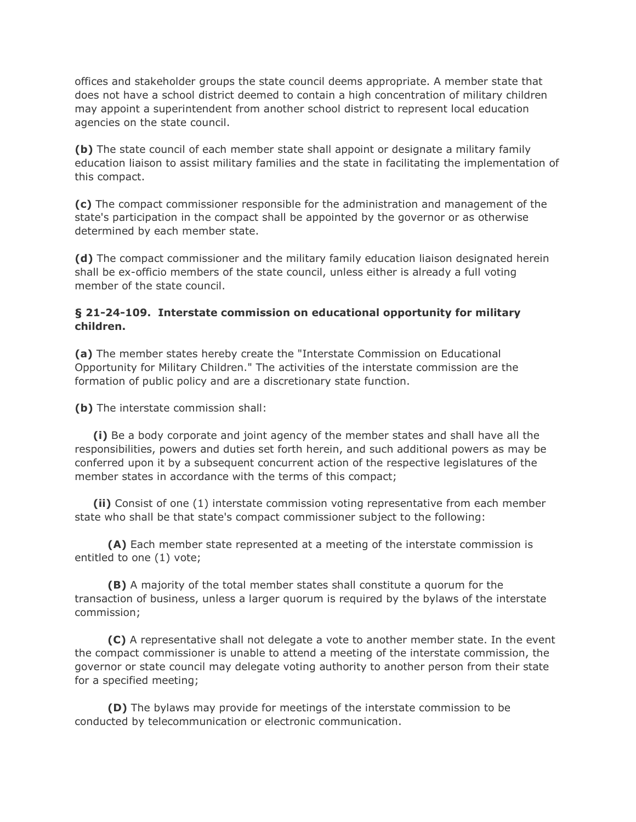offices and stakeholder groups the state council deems appropriate. A member state that does not have a school district deemed to contain a high concentration of military children may appoint a superintendent from another school district to represent local education agencies on the state council.

**(b)** The state council of each member state shall appoint or designate a military family education liaison to assist military families and the state in facilitating the implementation of this compact.

**(c)** The compact commissioner responsible for the administration and management of the state's participation in the compact shall be appointed by the governor or as otherwise determined by each member state.

**(d)** The compact commissioner and the military family education liaison designated herein shall be ex-officio members of the state council, unless either is already a full voting member of the state council.

### **§ 21-24-109. Interstate commission on educational opportunity for military children.**

**(a)** The member states hereby create the "Interstate Commission on Educational Opportunity for Military Children." The activities of the interstate commission are the formation of public policy and are a discretionary state function.

**(b)** The interstate commission shall:

 **(i)** Be a body corporate and joint agency of the member states and shall have all the responsibilities, powers and duties set forth herein, and such additional powers as may be conferred upon it by a subsequent concurrent action of the respective legislatures of the member states in accordance with the terms of this compact;

 **(ii)** Consist of one (1) interstate commission voting representative from each member state who shall be that state's compact commissioner subject to the following:

 **(A)** Each member state represented at a meeting of the interstate commission is entitled to one (1) vote;

 **(B)** A majority of the total member states shall constitute a quorum for the transaction of business, unless a larger quorum is required by the bylaws of the interstate commission;

 **(C)** A representative shall not delegate a vote to another member state. In the event the compact commissioner is unable to attend a meeting of the interstate commission, the governor or state council may delegate voting authority to another person from their state for a specified meeting;

 **(D)** The bylaws may provide for meetings of the interstate commission to be conducted by telecommunication or electronic communication.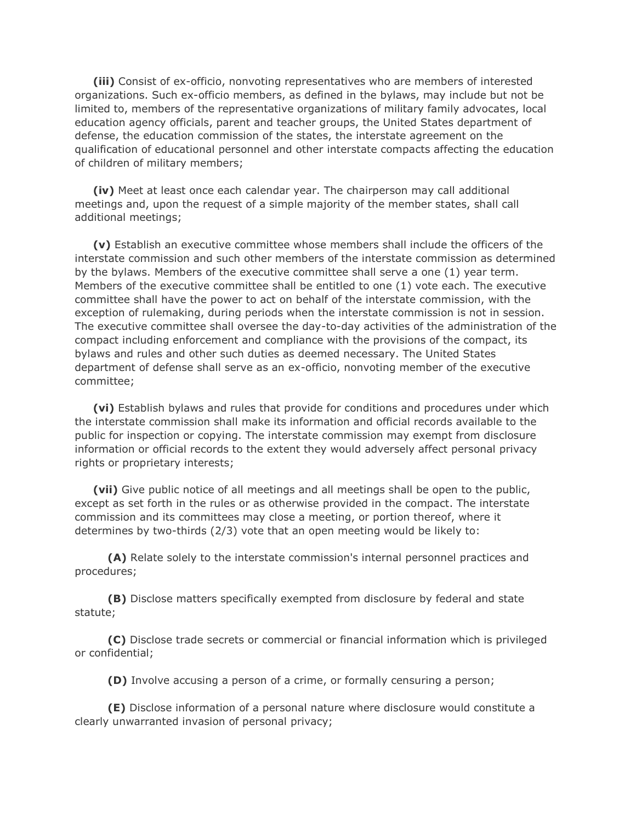**(iii)** Consist of ex-officio, nonvoting representatives who are members of interested organizations. Such ex-officio members, as defined in the bylaws, may include but not be limited to, members of the representative organizations of military family advocates, local education agency officials, parent and teacher groups, the United States department of defense, the education commission of the states, the interstate agreement on the qualification of educational personnel and other interstate compacts affecting the education of children of military members;

 **(iv)** Meet at least once each calendar year. The chairperson may call additional meetings and, upon the request of a simple majority of the member states, shall call additional meetings;

 **(v)** Establish an executive committee whose members shall include the officers of the interstate commission and such other members of the interstate commission as determined by the bylaws. Members of the executive committee shall serve a one (1) year term. Members of the executive committee shall be entitled to one (1) vote each. The executive committee shall have the power to act on behalf of the interstate commission, with the exception of rulemaking, during periods when the interstate commission is not in session. The executive committee shall oversee the day-to-day activities of the administration of the compact including enforcement and compliance with the provisions of the compact, its bylaws and rules and other such duties as deemed necessary. The United States department of defense shall serve as an ex-officio, nonvoting member of the executive committee;

 **(vi)** Establish bylaws and rules that provide for conditions and procedures under which the interstate commission shall make its information and official records available to the public for inspection or copying. The interstate commission may exempt from disclosure information or official records to the extent they would adversely affect personal privacy rights or proprietary interests;

 **(vii)** Give public notice of all meetings and all meetings shall be open to the public, except as set forth in the rules or as otherwise provided in the compact. The interstate commission and its committees may close a meeting, or portion thereof, where it determines by two-thirds (2/3) vote that an open meeting would be likely to:

 **(A)** Relate solely to the interstate commission's internal personnel practices and procedures;

 **(B)** Disclose matters specifically exempted from disclosure by federal and state statute;

 **(C)** Disclose trade secrets or commercial or financial information which is privileged or confidential;

**(D)** Involve accusing a person of a crime, or formally censuring a person;

 **(E)** Disclose information of a personal nature where disclosure would constitute a clearly unwarranted invasion of personal privacy;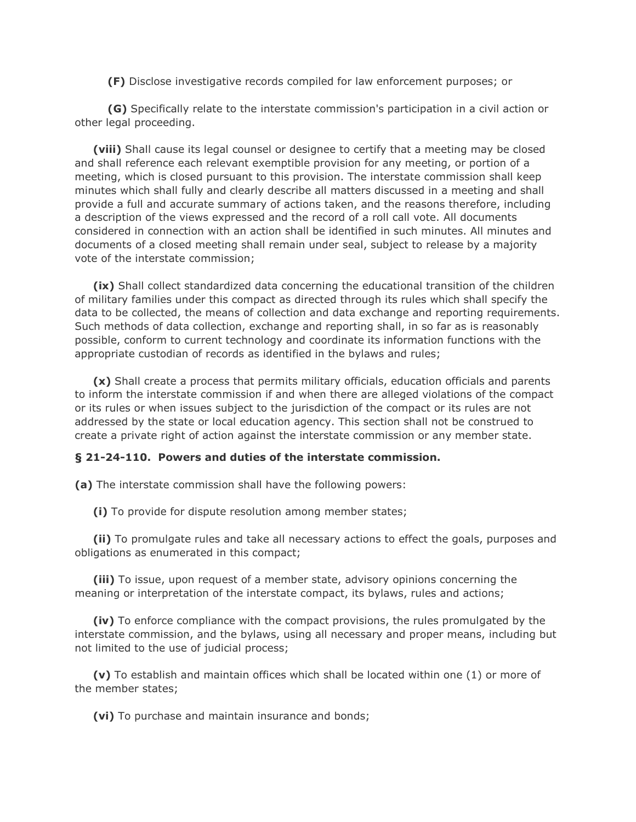**(F)** Disclose investigative records compiled for law enforcement purposes; or

 **(G)** Specifically relate to the interstate commission's participation in a civil action or other legal proceeding.

 **(viii)** Shall cause its legal counsel or designee to certify that a meeting may be closed and shall reference each relevant exemptible provision for any meeting, or portion of a meeting, which is closed pursuant to this provision. The interstate commission shall keep minutes which shall fully and clearly describe all matters discussed in a meeting and shall provide a full and accurate summary of actions taken, and the reasons therefore, including a description of the views expressed and the record of a roll call vote. All documents considered in connection with an action shall be identified in such minutes. All minutes and documents of a closed meeting shall remain under seal, subject to release by a majority vote of the interstate commission;

 **(ix)** Shall collect standardized data concerning the educational transition of the children of military families under this compact as directed through its rules which shall specify the data to be collected, the means of collection and data exchange and reporting requirements. Such methods of data collection, exchange and reporting shall, in so far as is reasonably possible, conform to current technology and coordinate its information functions with the appropriate custodian of records as identified in the bylaws and rules;

 **(x)** Shall create a process that permits military officials, education officials and parents to inform the interstate commission if and when there are alleged violations of the compact or its rules or when issues subject to the jurisdiction of the compact or its rules are not addressed by the state or local education agency. This section shall not be construed to create a private right of action against the interstate commission or any member state.

#### **§ 21-24-110. Powers and duties of the interstate commission.**

**(a)** The interstate commission shall have the following powers:

**(i)** To provide for dispute resolution among member states;

 **(ii)** To promulgate rules and take all necessary actions to effect the goals, purposes and obligations as enumerated in this compact;

 **(iii)** To issue, upon request of a member state, advisory opinions concerning the meaning or interpretation of the interstate compact, its bylaws, rules and actions;

 **(iv)** To enforce compliance with the compact provisions, the rules promulgated by the interstate commission, and the bylaws, using all necessary and proper means, including but not limited to the use of judicial process;

 **(v)** To establish and maintain offices which shall be located within one (1) or more of the member states;

**(vi)** To purchase and maintain insurance and bonds;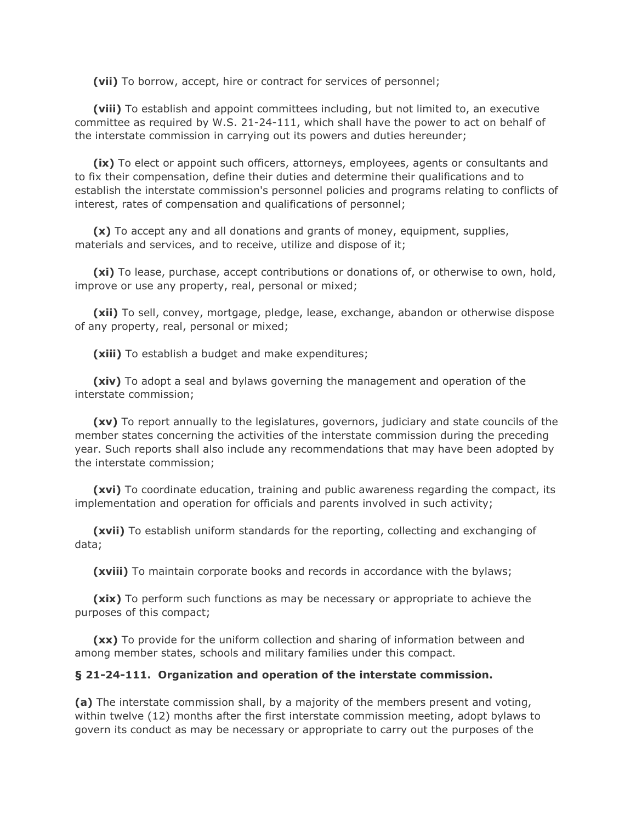**(vii)** To borrow, accept, hire or contract for services of personnel;

 **(viii)** To establish and appoint committees including, but not limited to, an executive committee as required by W.S. 21-24-111, which shall have the power to act on behalf of the interstate commission in carrying out its powers and duties hereunder;

 **(ix)** To elect or appoint such officers, attorneys, employees, agents or consultants and to fix their compensation, define their duties and determine their qualifications and to establish the interstate commission's personnel policies and programs relating to conflicts of interest, rates of compensation and qualifications of personnel;

 **(x)** To accept any and all donations and grants of money, equipment, supplies, materials and services, and to receive, utilize and dispose of it;

 **(xi)** To lease, purchase, accept contributions or donations of, or otherwise to own, hold, improve or use any property, real, personal or mixed;

 **(xii)** To sell, convey, mortgage, pledge, lease, exchange, abandon or otherwise dispose of any property, real, personal or mixed;

**(xiii)** To establish a budget and make expenditures;

 **(xiv)** To adopt a seal and bylaws governing the management and operation of the interstate commission;

 **(xv)** To report annually to the legislatures, governors, judiciary and state councils of the member states concerning the activities of the interstate commission during the preceding year. Such reports shall also include any recommendations that may have been adopted by the interstate commission;

 **(xvi)** To coordinate education, training and public awareness regarding the compact, its implementation and operation for officials and parents involved in such activity;

 **(xvii)** To establish uniform standards for the reporting, collecting and exchanging of data;

**(xviii)** To maintain corporate books and records in accordance with the bylaws;

 **(xix)** To perform such functions as may be necessary or appropriate to achieve the purposes of this compact;

 **(xx)** To provide for the uniform collection and sharing of information between and among member states, schools and military families under this compact.

#### **§ 21-24-111. Organization and operation of the interstate commission.**

**(a)** The interstate commission shall, by a majority of the members present and voting, within twelve (12) months after the first interstate commission meeting, adopt bylaws to govern its conduct as may be necessary or appropriate to carry out the purposes of the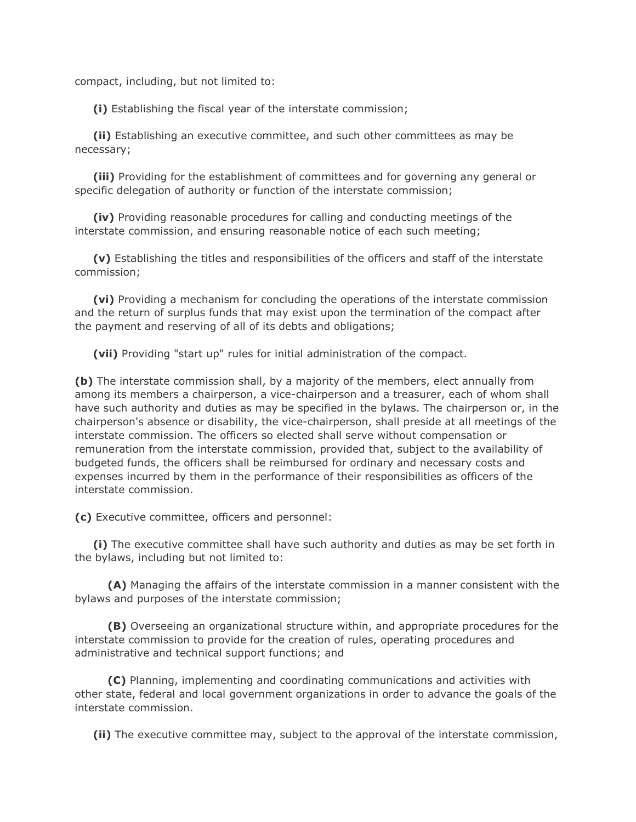compact, including, but not limited to:

**(i)** Establishing the fiscal year of the interstate commission;

 **(ii)** Establishing an executive committee, and such other committees as may be necessary;

 **(iii)** Providing for the establishment of committees and for governing any general or specific delegation of authority or function of the interstate commission;

 **(iv)** Providing reasonable procedures for calling and conducting meetings of the interstate commission, and ensuring reasonable notice of each such meeting;

 **(v)** Establishing the titles and responsibilities of the officers and staff of the interstate commission;

 **(vi)** Providing a mechanism for concluding the operations of the interstate commission and the return of surplus funds that may exist upon the termination of the compact after the payment and reserving of all of its debts and obligations;

**(vii)** Providing "start up" rules for initial administration of the compact.

**(b)** The interstate commission shall, by a majority of the members, elect annually from among its members a chairperson, a vice-chairperson and a treasurer, each of whom shall have such authority and duties as may be specified in the bylaws. The chairperson or, in the chairperson's absence or disability, the vice-chairperson, shall preside at all meetings of the interstate commission. The officers so elected shall serve without compensation or remuneration from the interstate commission, provided that, subject to the availability of budgeted funds, the officers shall be reimbursed for ordinary and necessary costs and expenses incurred by them in the performance of their responsibilities as officers of the interstate commission.

**(c)** Executive committee, officers and personnel:

 **(i)** The executive committee shall have such authority and duties as may be set forth in the bylaws, including but not limited to:

 **(A)** Managing the affairs of the interstate commission in a manner consistent with the bylaws and purposes of the interstate commission;

 **(B)** Overseeing an organizational structure within, and appropriate procedures for the interstate commission to provide for the creation of rules, operating procedures and administrative and technical support functions; and

 **(C)** Planning, implementing and coordinating communications and activities with other state, federal and local government organizations in order to advance the goals of the interstate commission.

**(ii)** The executive committee may, subject to the approval of the interstate commission,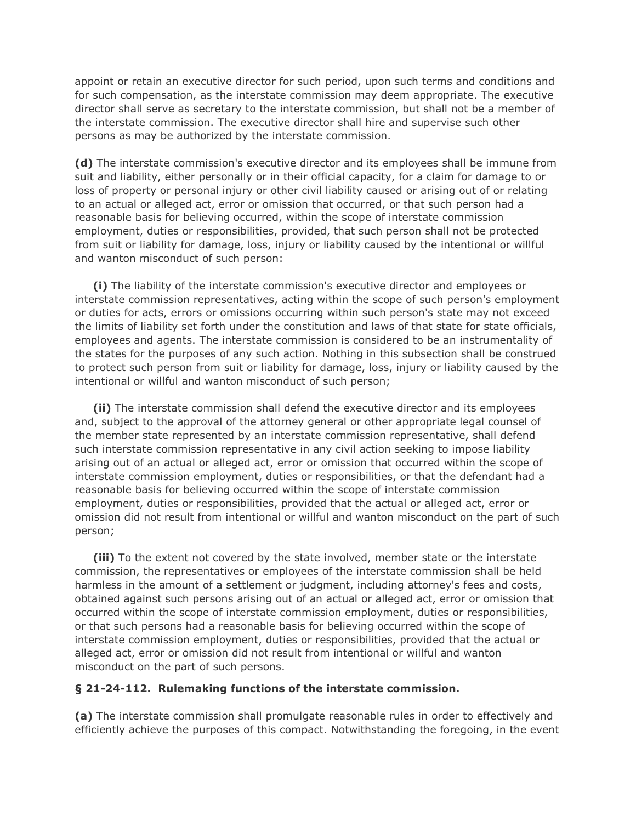appoint or retain an executive director for such period, upon such terms and conditions and for such compensation, as the interstate commission may deem appropriate. The executive director shall serve as secretary to the interstate commission, but shall not be a member of the interstate commission. The executive director shall hire and supervise such other persons as may be authorized by the interstate commission.

**(d)** The interstate commission's executive director and its employees shall be immune from suit and liability, either personally or in their official capacity, for a claim for damage to or loss of property or personal injury or other civil liability caused or arising out of or relating to an actual or alleged act, error or omission that occurred, or that such person had a reasonable basis for believing occurred, within the scope of interstate commission employment, duties or responsibilities, provided, that such person shall not be protected from suit or liability for damage, loss, injury or liability caused by the intentional or willful and wanton misconduct of such person:

 **(i)** The liability of the interstate commission's executive director and employees or interstate commission representatives, acting within the scope of such person's employment or duties for acts, errors or omissions occurring within such person's state may not exceed the limits of liability set forth under the constitution and laws of that state for state officials, employees and agents. The interstate commission is considered to be an instrumentality of the states for the purposes of any such action. Nothing in this subsection shall be construed to protect such person from suit or liability for damage, loss, injury or liability caused by the intentional or willful and wanton misconduct of such person;

 **(ii)** The interstate commission shall defend the executive director and its employees and, subject to the approval of the attorney general or other appropriate legal counsel of the member state represented by an interstate commission representative, shall defend such interstate commission representative in any civil action seeking to impose liability arising out of an actual or alleged act, error or omission that occurred within the scope of interstate commission employment, duties or responsibilities, or that the defendant had a reasonable basis for believing occurred within the scope of interstate commission employment, duties or responsibilities, provided that the actual or alleged act, error or omission did not result from intentional or willful and wanton misconduct on the part of such person;

 **(iii)** To the extent not covered by the state involved, member state or the interstate commission, the representatives or employees of the interstate commission shall be held harmless in the amount of a settlement or judgment, including attorney's fees and costs, obtained against such persons arising out of an actual or alleged act, error or omission that occurred within the scope of interstate commission employment, duties or responsibilities, or that such persons had a reasonable basis for believing occurred within the scope of interstate commission employment, duties or responsibilities, provided that the actual or alleged act, error or omission did not result from intentional or willful and wanton misconduct on the part of such persons.

#### **§ 21-24-112. Rulemaking functions of the interstate commission.**

**(a)** The interstate commission shall promulgate reasonable rules in order to effectively and efficiently achieve the purposes of this compact. Notwithstanding the foregoing, in the event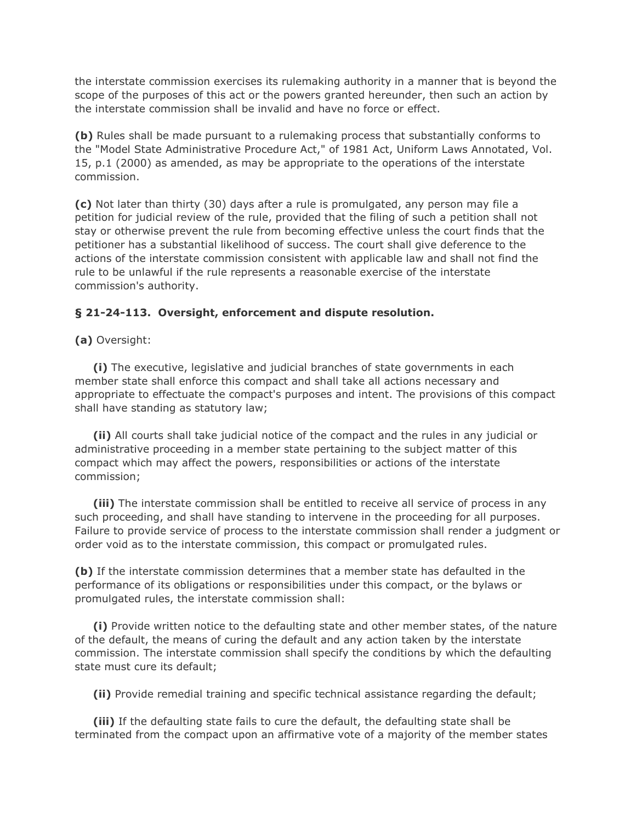the interstate commission exercises its rulemaking authority in a manner that is beyond the scope of the purposes of this act or the powers granted hereunder, then such an action by the interstate commission shall be invalid and have no force or effect.

**(b)** Rules shall be made pursuant to a rulemaking process that substantially conforms to the "Model State Administrative Procedure Act," of 1981 Act, Uniform Laws Annotated, Vol. 15, p.1 (2000) as amended, as may be appropriate to the operations of the interstate commission.

**(c)** Not later than thirty (30) days after a rule is promulgated, any person may file a petition for judicial review of the rule, provided that the filing of such a petition shall not stay or otherwise prevent the rule from becoming effective unless the court finds that the petitioner has a substantial likelihood of success. The court shall give deference to the actions of the interstate commission consistent with applicable law and shall not find the rule to be unlawful if the rule represents a reasonable exercise of the interstate commission's authority.

## **§ 21-24-113. Oversight, enforcement and dispute resolution.**

**(a)** Oversight:

 **(i)** The executive, legislative and judicial branches of state governments in each member state shall enforce this compact and shall take all actions necessary and appropriate to effectuate the compact's purposes and intent. The provisions of this compact shall have standing as statutory law;

 **(ii)** All courts shall take judicial notice of the compact and the rules in any judicial or administrative proceeding in a member state pertaining to the subject matter of this compact which may affect the powers, responsibilities or actions of the interstate commission;

 **(iii)** The interstate commission shall be entitled to receive all service of process in any such proceeding, and shall have standing to intervene in the proceeding for all purposes. Failure to provide service of process to the interstate commission shall render a judgment or order void as to the interstate commission, this compact or promulgated rules.

**(b)** If the interstate commission determines that a member state has defaulted in the performance of its obligations or responsibilities under this compact, or the bylaws or promulgated rules, the interstate commission shall:

 **(i)** Provide written notice to the defaulting state and other member states, of the nature of the default, the means of curing the default and any action taken by the interstate commission. The interstate commission shall specify the conditions by which the defaulting state must cure its default;

**(ii)** Provide remedial training and specific technical assistance regarding the default;

 **(iii)** If the defaulting state fails to cure the default, the defaulting state shall be terminated from the compact upon an affirmative vote of a majority of the member states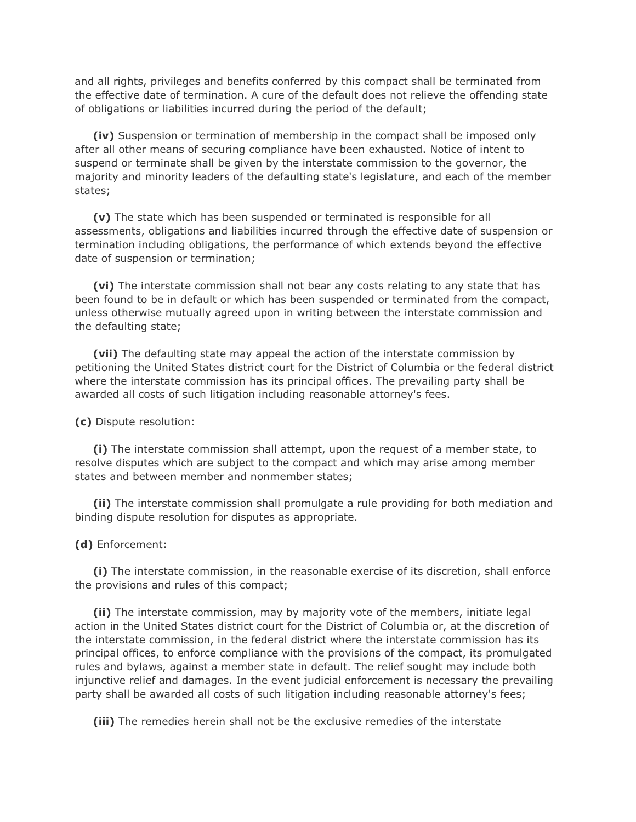and all rights, privileges and benefits conferred by this compact shall be terminated from the effective date of termination. A cure of the default does not relieve the offending state of obligations or liabilities incurred during the period of the default;

 **(iv)** Suspension or termination of membership in the compact shall be imposed only after all other means of securing compliance have been exhausted. Notice of intent to suspend or terminate shall be given by the interstate commission to the governor, the majority and minority leaders of the defaulting state's legislature, and each of the member states;

 **(v)** The state which has been suspended or terminated is responsible for all assessments, obligations and liabilities incurred through the effective date of suspension or termination including obligations, the performance of which extends beyond the effective date of suspension or termination;

 **(vi)** The interstate commission shall not bear any costs relating to any state that has been found to be in default or which has been suspended or terminated from the compact, unless otherwise mutually agreed upon in writing between the interstate commission and the defaulting state;

 **(vii)** The defaulting state may appeal the action of the interstate commission by petitioning the United States district court for the District of Columbia or the federal district where the interstate commission has its principal offices. The prevailing party shall be awarded all costs of such litigation including reasonable attorney's fees.

**(c)** Dispute resolution:

 **(i)** The interstate commission shall attempt, upon the request of a member state, to resolve disputes which are subject to the compact and which may arise among member states and between member and nonmember states;

 **(ii)** The interstate commission shall promulgate a rule providing for both mediation and binding dispute resolution for disputes as appropriate.

#### **(d)** Enforcement:

 **(i)** The interstate commission, in the reasonable exercise of its discretion, shall enforce the provisions and rules of this compact;

 **(ii)** The interstate commission, may by majority vote of the members, initiate legal action in the United States district court for the District of Columbia or, at the discretion of the interstate commission, in the federal district where the interstate commission has its principal offices, to enforce compliance with the provisions of the compact, its promulgated rules and bylaws, against a member state in default. The relief sought may include both injunctive relief and damages. In the event judicial enforcement is necessary the prevailing party shall be awarded all costs of such litigation including reasonable attorney's fees;

**(iii)** The remedies herein shall not be the exclusive remedies of the interstate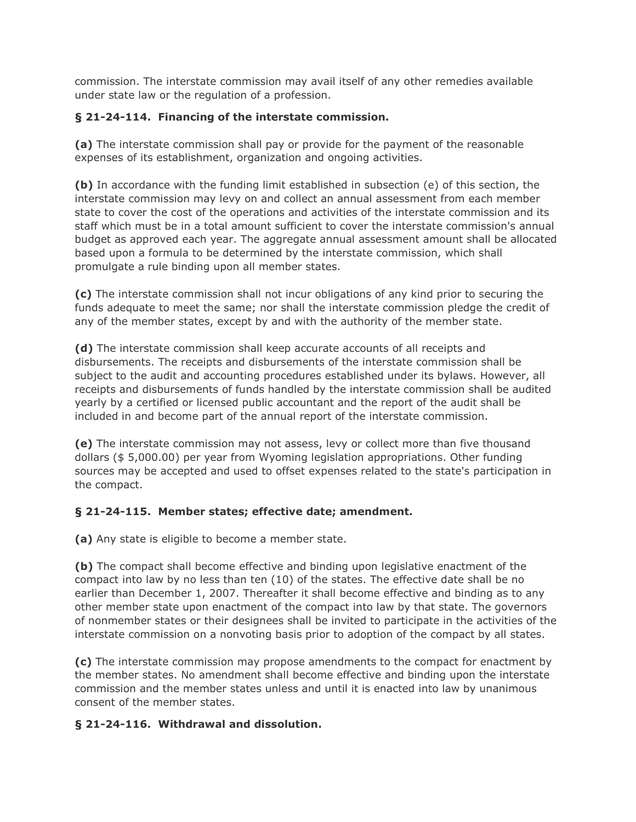commission. The interstate commission may avail itself of any other remedies available under state law or the regulation of a profession.

# **§ 21-24-114. Financing of the interstate commission.**

**(a)** The interstate commission shall pay or provide for the payment of the reasonable expenses of its establishment, organization and ongoing activities.

**(b)** In accordance with the funding limit established in subsection (e) of this section, the interstate commission may levy on and collect an annual assessment from each member state to cover the cost of the operations and activities of the interstate commission and its staff which must be in a total amount sufficient to cover the interstate commission's annual budget as approved each year. The aggregate annual assessment amount shall be allocated based upon a formula to be determined by the interstate commission, which shall promulgate a rule binding upon all member states.

**(c)** The interstate commission shall not incur obligations of any kind prior to securing the funds adequate to meet the same; nor shall the interstate commission pledge the credit of any of the member states, except by and with the authority of the member state.

**(d)** The interstate commission shall keep accurate accounts of all receipts and disbursements. The receipts and disbursements of the interstate commission shall be subject to the audit and accounting procedures established under its bylaws. However, all receipts and disbursements of funds handled by the interstate commission shall be audited yearly by a certified or licensed public accountant and the report of the audit shall be included in and become part of the annual report of the interstate commission.

**(e)** The interstate commission may not assess, levy or collect more than five thousand dollars (\$ 5,000.00) per year from Wyoming legislation appropriations. Other funding sources may be accepted and used to offset expenses related to the state's participation in the compact.

## **§ 21-24-115. Member states; effective date; amendment.**

**(a)** Any state is eligible to become a member state.

**(b)** The compact shall become effective and binding upon legislative enactment of the compact into law by no less than ten (10) of the states. The effective date shall be no earlier than December 1, 2007. Thereafter it shall become effective and binding as to any other member state upon enactment of the compact into law by that state. The governors of nonmember states or their designees shall be invited to participate in the activities of the interstate commission on a nonvoting basis prior to adoption of the compact by all states.

**(c)** The interstate commission may propose amendments to the compact for enactment by the member states. No amendment shall become effective and binding upon the interstate commission and the member states unless and until it is enacted into law by unanimous consent of the member states.

## **§ 21-24-116. Withdrawal and dissolution.**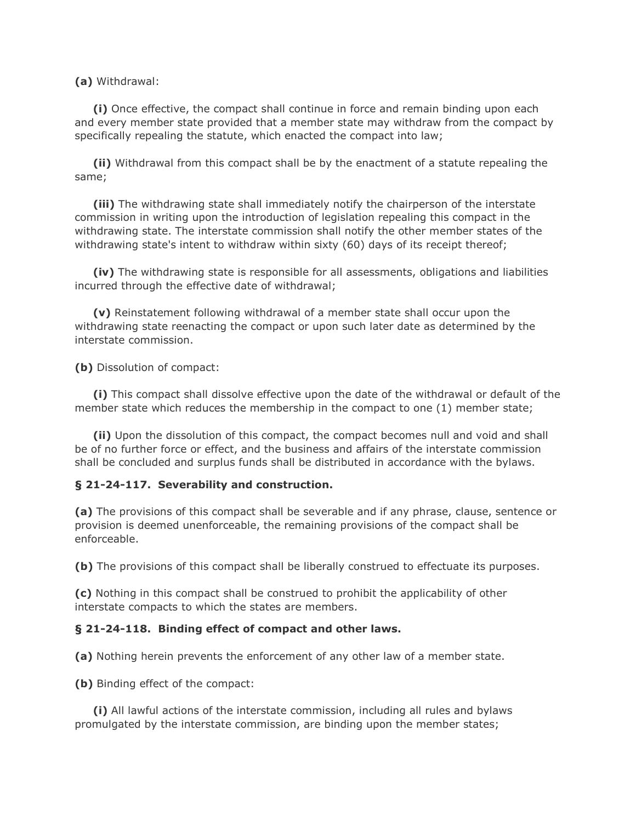**(a)** Withdrawal:

 **(i)** Once effective, the compact shall continue in force and remain binding upon each and every member state provided that a member state may withdraw from the compact by specifically repealing the statute, which enacted the compact into law;

 **(ii)** Withdrawal from this compact shall be by the enactment of a statute repealing the same;

 **(iii)** The withdrawing state shall immediately notify the chairperson of the interstate commission in writing upon the introduction of legislation repealing this compact in the withdrawing state. The interstate commission shall notify the other member states of the withdrawing state's intent to withdraw within sixty (60) days of its receipt thereof;

 **(iv)** The withdrawing state is responsible for all assessments, obligations and liabilities incurred through the effective date of withdrawal;

 **(v)** Reinstatement following withdrawal of a member state shall occur upon the withdrawing state reenacting the compact or upon such later date as determined by the interstate commission.

**(b)** Dissolution of compact:

 **(i)** This compact shall dissolve effective upon the date of the withdrawal or default of the member state which reduces the membership in the compact to one (1) member state;

 **(ii)** Upon the dissolution of this compact, the compact becomes null and void and shall be of no further force or effect, and the business and affairs of the interstate commission shall be concluded and surplus funds shall be distributed in accordance with the bylaws.

## **§ 21-24-117. Severability and construction.**

**(a)** The provisions of this compact shall be severable and if any phrase, clause, sentence or provision is deemed unenforceable, the remaining provisions of the compact shall be enforceable.

**(b)** The provisions of this compact shall be liberally construed to effectuate its purposes.

**(c)** Nothing in this compact shall be construed to prohibit the applicability of other interstate compacts to which the states are members.

#### **§ 21-24-118. Binding effect of compact and other laws.**

**(a)** Nothing herein prevents the enforcement of any other law of a member state.

**(b)** Binding effect of the compact:

 **(i)** All lawful actions of the interstate commission, including all rules and bylaws promulgated by the interstate commission, are binding upon the member states;